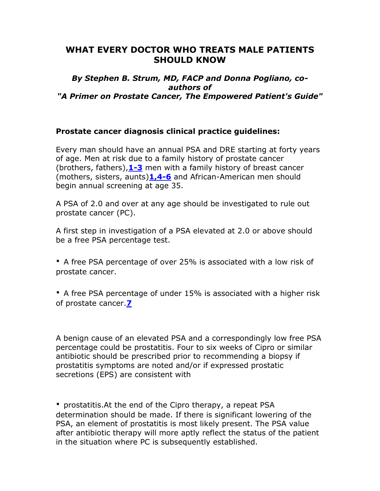# **WHAT EVERY DOCTOR WHO TREATS MALE PATIENTS SHOULD KNOW**

#### *By Stephen B. Strum, MD, FACP and Donna Pogliano, coauthors of "A Primer on Prostate Cancer, The Empowered Patient's Guide"*

#### **Prostate cancer diagnosis clinical practice guidelines:**

Every man should have an annual PSA and DRE starting at forty years of age. Men at risk due to a family history of prostate cancer (brothers, fathers),**[1-3](http://www.yananow.net/DonnasDoctor.html#1#1)** men with a family history of breast cancer (mothers, sisters, aunts)**[1,4-6](http://www.yananow.net/DonnasDoctor.html#4#4)** and African-American men should begin annual screening at age 35.

A PSA of 2.0 and over at any age should be investigated to rule out prostate cancer (PC).

A first step in investigation of a PSA elevated at 2.0 or above should be a free PSA percentage test.

**·** A free PSA percentage of over 25% is associated with a low risk of prostate cancer.

**·** A free PSA percentage of under 15% is associated with a higher risk of prostate cancer.**[7](http://www.yananow.net/DonnasDoctor.html#7#7)**

A benign cause of an elevated PSA and a correspondingly low free PSA percentage could be prostatitis. Four to six weeks of Cipro or similar antibiotic should be prescribed prior to recommending a biopsy if prostatitis symptoms are noted and/or if expressed prostatic secretions (EPS) are consistent with

**·** prostatitis.At the end of the Cipro therapy, a repeat PSA determination should be made. If there is significant lowering of the PSA, an element of prostatitis is most likely present. The PSA value after antibiotic therapy will more aptly reflect the status of the patient in the situation where PC is subsequently established.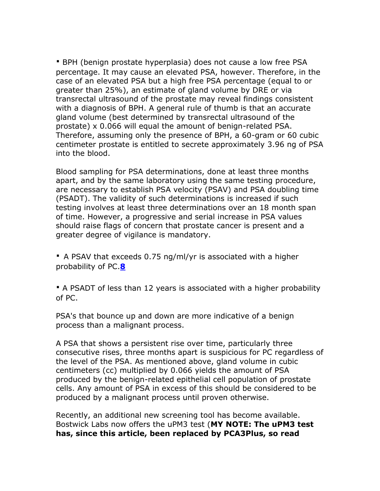**·** BPH (benign prostate hyperplasia) does not cause a low free PSA percentage. It may cause an elevated PSA, however. Therefore, in the case of an elevated PSA but a high free PSA percentage (equal to or greater than 25%), an estimate of gland volume by DRE or via transrectal ultrasound of the prostate may reveal findings consistent with a diagnosis of BPH. A general rule of thumb is that an accurate gland volume (best determined by transrectal ultrasound of the prostate) x 0.066 will equal the amount of benign-related PSA. Therefore, assuming only the presence of BPH, a 60-gram or 60 cubic centimeter prostate is entitled to secrete approximately 3.96 ng of PSA into the blood.

Blood sampling for PSA determinations, done at least three months apart, and by the same laboratory using the same testing procedure, are necessary to establish PSA velocity (PSAV) and PSA doubling time (PSADT). The validity of such determinations is increased if such testing involves at least three determinations over an 18 month span of time. However, a progressive and serial increase in PSA values should raise flags of concern that prostate cancer is present and a greater degree of vigilance is mandatory.

**·** A PSAV that exceeds 0.75 ng/ml/yr is associated with a higher probability of PC.**[8](http://www.yananow.net/DonnasDoctor.html#8#8)**

**·** A PSADT of less than 12 years is associated with a higher probability of PC.

PSA's that bounce up and down are more indicative of a benign process than a malignant process.

A PSA that shows a persistent rise over time, particularly three consecutive rises, three months apart is suspicious for PC regardless of the level of the PSA. As mentioned above, gland volume in cubic centimeters (cc) multiplied by 0.066 yields the amount of PSA produced by the benign-related epithelial cell population of prostate cells. Any amount of PSA in excess of this should be considered to be produced by a malignant process until proven otherwise.

Recently, an additional new screening tool has become available. Bostwick Labs now offers the uPM3 test (**MY NOTE: The uPM3 test has, since this article, been replaced by PCA3Plus, so read**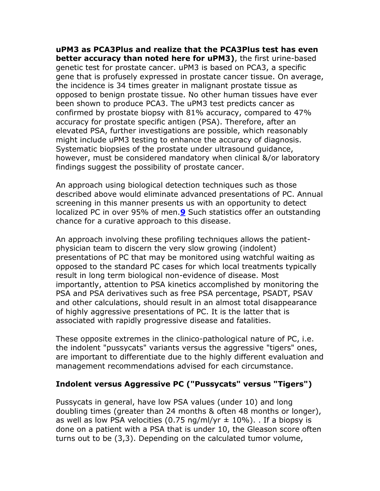**uPM3 as PCA3Plus and realize that the PCA3Plus test has even better accuracy than noted here for uPM3)**, the first urine-based genetic test for prostate cancer. uPM3 is based on PCA3, a specific gene that is profusely expressed in prostate cancer tissue. On average, the incidence is 34 times greater in malignant prostate tissue as opposed to benign prostate tissue. No other human tissues have ever been shown to produce PCA3. The uPM3 test predicts cancer as confirmed by prostate biopsy with 81% accuracy, compared to 47% accuracy for prostate specific antigen (PSA). Therefore, after an elevated PSA, further investigations are possible, which reasonably might include uPM3 testing to enhance the accuracy of diagnosis. Systematic biopsies of the prostate under ultrasound guidance, however, must be considered mandatory when clinical &/or laboratory findings suggest the possibility of prostate cancer.

An approach using biological detection techniques such as those described above would eliminate advanced presentations of PC. Annual screening in this manner presents us with an opportunity to detect localized PC in over 95% of men.**[9](http://www.yananow.net/DonnasDoctor.html#9#9)** Such statistics offer an outstanding chance for a curative approach to this disease.

An approach involving these profiling techniques allows the patientphysician team to discern the very slow growing (indolent) presentations of PC that may be monitored using watchful waiting as opposed to the standard PC cases for which local treatments typically result in long term biological non-evidence of disease. Most importantly, attention to PSA kinetics accomplished by monitoring the PSA and PSA derivatives such as free PSA percentage, PSADT, PSAV and other calculations, should result in an almost total disappearance of highly aggressive presentations of PC. It is the latter that is associated with rapidly progressive disease and fatalities.

These opposite extremes in the clinico-pathological nature of PC, i.e. the indolent "pussycats" variants versus the aggressive "tigers" ones, are important to differentiate due to the highly different evaluation and management recommendations advised for each circumstance.

#### **Indolent versus Aggressive PC ("Pussycats" versus "Tigers")**

Pussycats in general, have low PSA values (under 10) and long doubling times (greater than 24 months & often 48 months or longer), as well as low PSA velocities (0.75 ng/ml/yr  $\pm$  10%). If a biopsy is done on a patient with a PSA that is under 10, the Gleason score often turns out to be (3,3). Depending on the calculated tumor volume,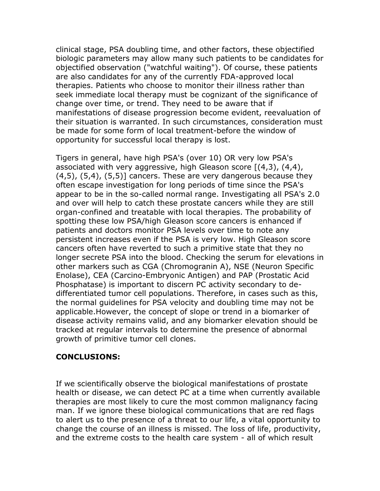clinical stage, PSA doubling time, and other factors, these objectified biologic parameters may allow many such patients to be candidates for objectified observation ("watchful waiting"). Of course, these patients are also candidates for any of the currently FDA-approved local therapies. Patients who choose to monitor their illness rather than seek immediate local therapy must be cognizant of the significance of change over time, or trend. They need to be aware that if manifestations of disease progression become evident, reevaluation of their situation is warranted. In such circumstances, consideration must be made for some form of local treatment-before the window of opportunity for successful local therapy is lost.

Tigers in general, have high PSA's (over 10) OR very low PSA's associated with very aggressive, high Gleason score  $[(4,3), (4,4),$  $(4,5)$ ,  $(5,4)$ ,  $(5,5)$ ] cancers. These are very dangerous because they often escape investigation for long periods of time since the PSA's appear to be in the so-called normal range. Investigating all PSA's 2.0 and over will help to catch these prostate cancers while they are still organ-confined and treatable with local therapies. The probability of spotting these low PSA/high Gleason score cancers is enhanced if patients and doctors monitor PSA levels over time to note any persistent increases even if the PSA is very low. High Gleason score cancers often have reverted to such a primitive state that they no longer secrete PSA into the blood. Checking the serum for elevations in other markers such as CGA (Chromogranin A), NSE (Neuron Specific Enolase), CEA (Carcino-Embryonic Antigen) and PAP (Prostatic Acid Phosphatase) is important to discern PC activity secondary to dedifferentiated tumor cell populations. Therefore, in cases such as this, the normal guidelines for PSA velocity and doubling time may not be applicable.However, the concept of slope or trend in a biomarker of disease activity remains valid, and any biomarker elevation should be tracked at regular intervals to determine the presence of abnormal growth of primitive tumor cell clones.

#### **CONCLUSIONS:**

If we scientifically observe the biological manifestations of prostate health or disease, we can detect PC at a time when currently available therapies are most likely to cure the most common malignancy facing man. If we ignore these biological communications that are red flags to alert us to the presence of a threat to our life, a vital opportunity to change the course of an illness is missed. The loss of life, productivity, and the extreme costs to the health care system - all of which result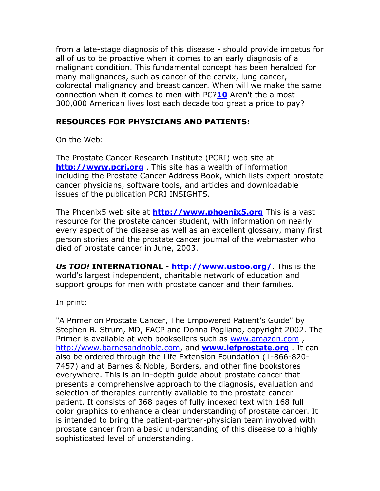from a late-stage diagnosis of this disease - should provide impetus for all of us to be proactive when it comes to an early diagnosis of a malignant condition. This fundamental concept has been heralded for many malignances, such as cancer of the cervix, lung cancer, colorectal malignancy and breast cancer. When will we make the same connection when it comes to men with PC?**[10](http://www.yananow.net/DonnasDoctor.html#10#10)** Aren't the almost 300,000 American lives lost each decade too great a price to pay?

## **RESOURCES FOR PHYSICIANS AND PATIENTS:**

On the Web:

The Prostate Cancer Research Institute (PCRI) web site at **[http://www.pcri.org](http://www.pcri.org/)** . This site has a wealth of information including the Prostate Cancer Address Book, which lists expert prostate cancer physicians, software tools, and articles and downloadable issues of the publication PCRI INSIGHTS.

The Phoenix5 web site at **[http://www.phoenix5.org](http://www.phoenix5.org/)** This is a vast resource for the prostate cancer student, with information on nearly every aspect of the disease as well as an excellent glossary, many first person stories and the prostate cancer journal of the webmaster who died of prostate cancer in June, 2003.

*Us TOO!* **INTERNATIONAL** - **<http://www.ustoo.org/>**. This is the world's largest independent, charitable network of education and support groups for men with prostate cancer and their families.

In print:

"A Primer on Prostate Cancer, The Empowered Patient's Guide" by Stephen B. Strum, MD, FACP and Donna Pogliano, copyright 2002. The Primer is available at web booksellers such as [www.amazon.com](http://www.amazon.com/) , [http://www.barnesandnoble.com,](http://www.barnesandnoble.com/) and **[www.lefprostate.org](http://www.lefprostate.org/)** . It can also be ordered through the Life Extension Foundation (1-866-820- 7457) and at Barnes & Noble, Borders, and other fine bookstores everywhere. This is an in-depth guide about prostate cancer that presents a comprehensive approach to the diagnosis, evaluation and selection of therapies currently available to the prostate cancer patient. It consists of 368 pages of fully indexed text with 168 full color graphics to enhance a clear understanding of prostate cancer. It is intended to bring the patient-partner-physician team involved with prostate cancer from a basic understanding of this disease to a highly sophisticated level of understanding.